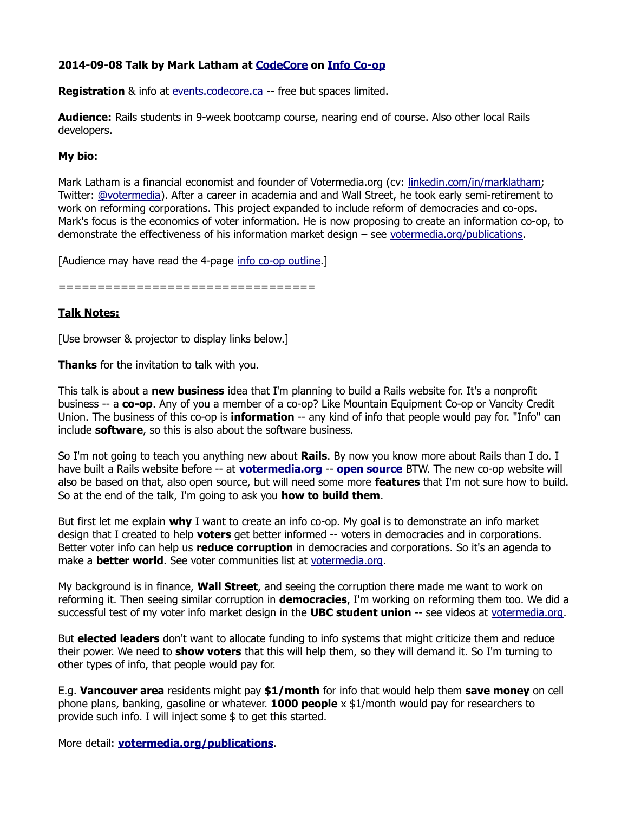## **2014-09-08 Talk by Mark Latham at [CodeCore](http://CodeCore.ca/) on [Info Co-op](http://votermedia.org/publications/InfoCoopOutline.pdf)**

**Registration** & info at [events.codecore.ca](http://events.codecore.ca/) -- free but spaces limited.

**Audience:** Rails students in 9-week bootcamp course, nearing end of course. Also other local Rails developers.

## **My bio:**

Mark Latham is a financial economist and founder of Votermedia.org (cv: [linkedin.com/in/marklatham;](http://linkedin.com/in/marklatham) Twitter: [@votermedia\)](http://twitter.com/votermedia). After a career in academia and and Wall Street, he took early semi-retirement to work on reforming corporations. This project expanded to include reform of democracies and co-ops. Mark's focus is the economics of voter information. He is now proposing to create an information co-op, to demonstrate the effectiveness of his information market design – see [votermedia.org/publications.](http://votermedia.org/publications)

[Audience may have read the 4-page [info co-op outline.](http://votermedia.org/publications/InfoCoopOutline.pdf)]

=================================

## **Talk Notes:**

[Use browser & projector to display links below.]

**Thanks** for the invitation to talk with you.

This talk is about a **new business** idea that I'm planning to build a Rails website for. It's a nonprofit business -- a **co-op**. Any of you a member of a co-op? Like Mountain Equipment Co-op or Vancity Credit Union. The business of this co-op is **information** -- any kind of info that people would pay for. "Info" can include **software**, so this is also about the software business.

So I'm not going to teach you anything new about **Rails**. By now you know more about Rails than I do. I have built a Rails website before -- at **[votermedia.org](http://votermedia.org/)** -- **[open source](https://www.assembla.com/code/gvmp/git/nodes/rails3)** BTW. The new co-op website will also be based on that, also open source, but will need some more **features** that I'm not sure how to build. So at the end of the talk, I'm going to ask you **how to build them**.

But first let me explain **why** I want to create an info co-op. My goal is to demonstrate an info market design that I created to help **voters** get better informed -- voters in democracies and in corporations. Better voter info can help us **reduce corruption** in democracies and corporations. So it's an agenda to make a **better world**. See voter communities list at [votermedia.org.](http://votermedia.org/)

My background is in finance, **Wall Street**, and seeing the corruption there made me want to work on reforming it. Then seeing similar corruption in **democracies**, I'm working on reforming them too. We did a successful test of my voter info market design in the **UBC student union** -- see videos at [votermedia.org.](http://votermedia.org/)

But **elected leaders** don't want to allocate funding to info systems that might criticize them and reduce their power. We need to **show voters** that this will help them, so they will demand it. So I'm turning to other types of info, that people would pay for.

E.g. **Vancouver area** residents might pay **\$1/month** for info that would help them **save money** on cell phone plans, banking, gasoline or whatever. **1000 people** x \$1/month would pay for researchers to provide such info. I will inject some \$ to get this started.

More detail: **[votermedia.org/publications](http://votermedia.org/publications)**.